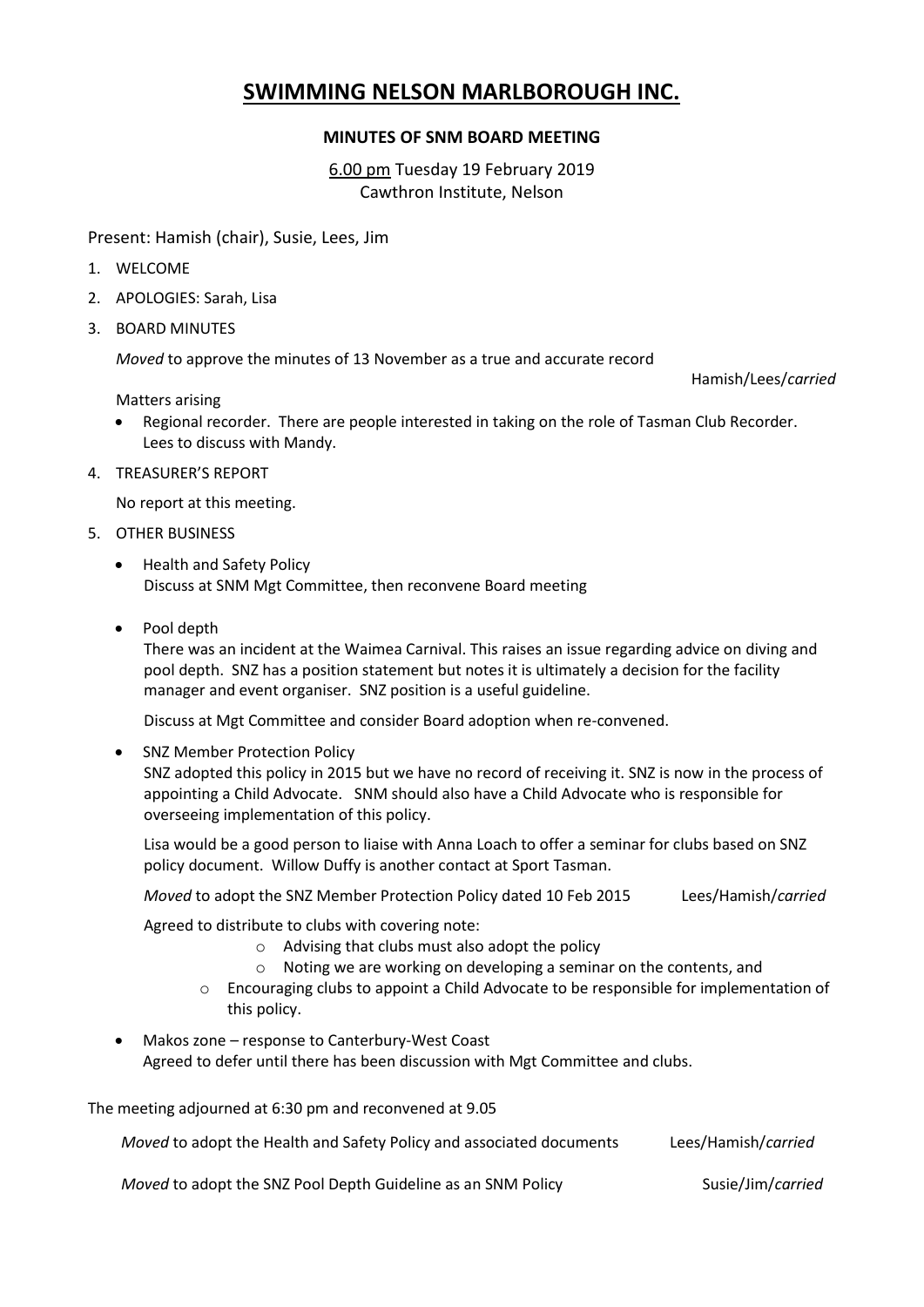## **SWIMMING NELSON MARLBOROUGH INC.**

## **MINUTES OF SNM BOARD MEETING**

6.00 pm Tuesday 19 February 2019 Cawthron Institute, Nelson

Present: Hamish (chair), Susie, Lees, Jim

- 1. WELCOME
- 2. APOLOGIES: Sarah, Lisa
- 3. BOARD MINUTES

*Moved* to approve the minutes of 13 November as a true and accurate record

Matters arising

Hamish/Lees/*carried*

- Regional recorder. There are people interested in taking on the role of Tasman Club Recorder. Lees to discuss with Mandy.
- 4. TREASURER'S REPORT

No report at this meeting.

- 5. OTHER BUSINESS
	- Health and Safety Policy Discuss at SNM Mgt Committee, then reconvene Board meeting
	- Pool depth

There was an incident at the Waimea Carnival. This raises an issue regarding advice on diving and pool depth. SNZ has a position statement but notes it is ultimately a decision for the facility manager and event organiser. SNZ position is a useful guideline.

Discuss at Mgt Committee and consider Board adoption when re-convened.

• SNZ Member Protection Policy SNZ adopted this policy in 2015 but we have no record of receiving it. SNZ is now in the process of appointing a Child Advocate. SNM should also have a Child Advocate who is responsible for overseeing implementation of this policy.

Lisa would be a good person to liaise with Anna Loach to offer a seminar for clubs based on SNZ policy document. Willow Duffy is another contact at Sport Tasman.

*Moved* to adopt the SNZ Member Protection Policy dated 10 Feb 2015 Lees/Hamish/*carried*

Agreed to distribute to clubs with covering note:

- o Advising that clubs must also adopt the policy
- o Noting we are working on developing a seminar on the contents, and
- o Encouraging clubs to appoint a Child Advocate to be responsible for implementation of this policy.
- Makos zone response to Canterbury-West Coast Agreed to defer until there has been discussion with Mgt Committee and clubs.

The meeting adjourned at 6:30 pm and reconvened at 9.05

*Moved* to adopt the Health and Safety Policy and associated documents Lees/Hamish/*carried*

*Moved* to adopt the SNZ Pool Depth Guideline as an SNM Policy Susie/Jim/*carried*